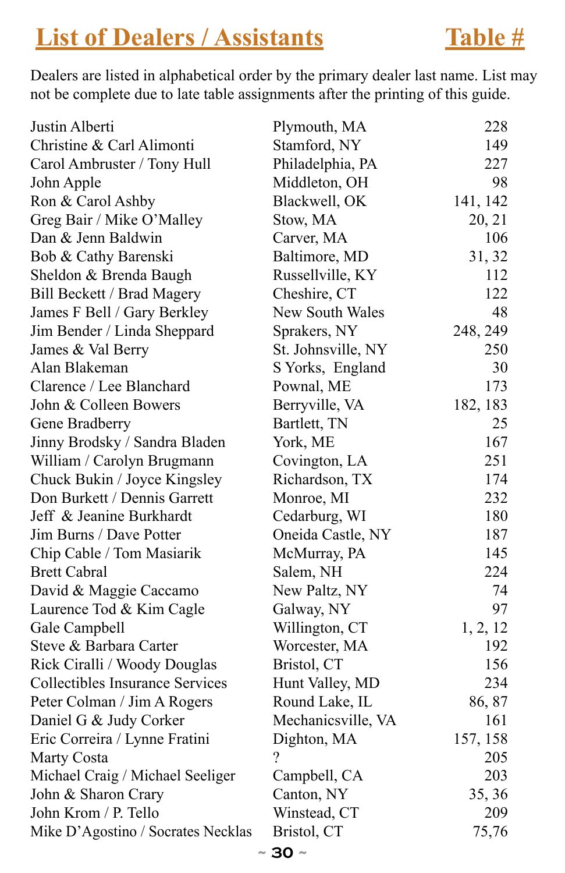### **List of Dealers / Assistants** Table #

Dealers are listed in alphabetical order by the primary dealer last name. List may not be complete due to late table assignments after the printing of this guide.

| Justin Alberti                         | Plymouth, MA       | 228      |
|----------------------------------------|--------------------|----------|
| Christine & Carl Alimonti              | Stamford, NY       | 149      |
| Carol Ambruster / Tony Hull            | Philadelphia, PA   | 227      |
| John Apple                             | Middleton, OH      | 98       |
| Ron & Carol Ashby                      | Blackwell, OK      | 141, 142 |
| Greg Bair / Mike O'Malley              | Stow, MA           | 20, 21   |
| Dan & Jenn Baldwin                     | Carver, MA         | 106      |
| Bob & Cathy Barenski                   | Baltimore, MD      | 31, 32   |
| Sheldon & Brenda Baugh                 | Russellville, KY   | 112      |
| Bill Beckett / Brad Magery             | Cheshire, CT       | 122      |
| James F Bell / Gary Berkley            | New South Wales    | 48       |
| Jim Bender / Linda Sheppard            | Sprakers, NY       | 248, 249 |
| James & Val Berry                      | St. Johnsville, NY | 250      |
| Alan Blakeman                          | S Yorks, England   | 30       |
| Clarence / Lee Blanchard               | Pownal, ME         | 173      |
| John & Colleen Bowers                  | Berryville, VA     | 182, 183 |
| Gene Bradberry                         | Bartlett, TN       | 25       |
| Jinny Brodsky / Sandra Bladen          | York, ME           | 167      |
| William / Carolyn Brugmann             | Covington, LA      | 251      |
| Chuck Bukin / Joyce Kingsley           | Richardson, TX     | 174      |
| Don Burkett / Dennis Garrett           | Monroe, MI         | 232      |
| Jeff & Jeanine Burkhardt               | Cedarburg, WI      | 180      |
| Jim Burns / Dave Potter                | Oneida Castle, NY  | 187      |
| Chip Cable / Tom Masiarik              | McMurray, PA       | 145      |
| <b>Brett Cabral</b>                    | Salem, NH          | 224      |
| David & Maggie Caccamo                 | New Paltz, NY      | 74       |
| Laurence Tod & Kim Cagle               | Galway, NY         | 97       |
| Gale Campbell                          | Willington, CT     | 1, 2, 12 |
| Steve & Barbara Carter                 | Worcester, MA      | 192      |
| Rick Ciralli / Woody Douglas           | Bristol, CT        | 156      |
| <b>Collectibles Insurance Services</b> | Hunt Valley, MD    | 234      |
| Peter Colman / Jim A Rogers            | Round Lake, IL     | 86, 87   |
| Daniel G & Judy Corker                 | Mechanicsville, VA | 161      |
| Eric Correira / Lynne Fratini          | Dighton, MA        | 157, 158 |
| <b>Marty Costa</b>                     | $\gamma$           | 205      |
| Michael Craig / Michael Seeliger       | Campbell, CA       | 203      |
| John & Sharon Crary                    | Canton, NY         | 35, 36   |
| John Krom / P. Tello                   | Winstead, CT       | 209      |
| Mike D'Agostino / Socrates Necklas     | Bristol, CT        | 75,76    |
|                                        |                    |          |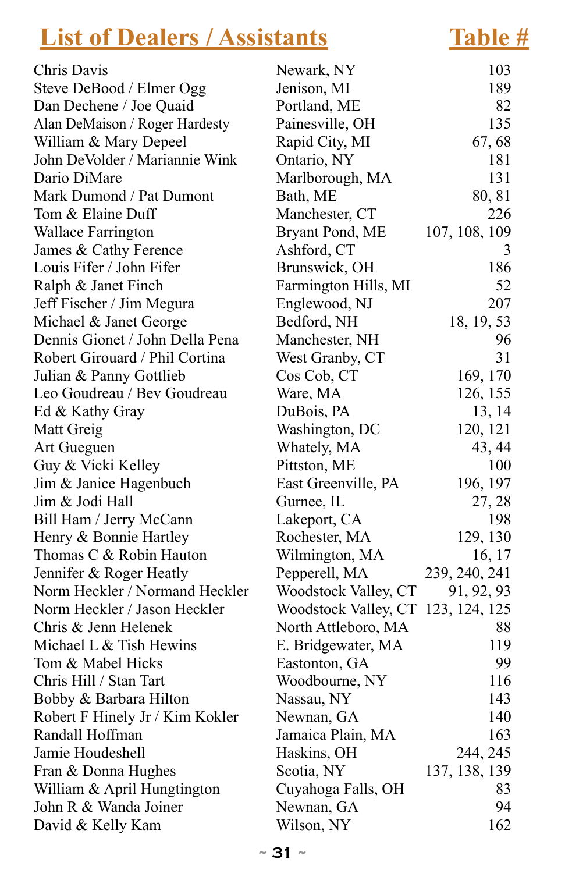## **List of Dealers / Assistants Table #**

| Chris Davis                     | Newark, NY                         | 103           |
|---------------------------------|------------------------------------|---------------|
| Steve DeBood / Elmer Ogg        | Jenison, MI                        | 189           |
| Dan Dechene / Joe Quaid         | Portland, ME                       | 82            |
| Alan DeMaison / Roger Hardesty  | Painesville, OH                    | 135           |
| William & Mary Depeel           | Rapid City, MI                     | 67, 68        |
| John DeVolder / Mariannie Wink  | Ontario, NY                        | 181           |
| Dario DiMare                    | Marlborough, MA                    | 131           |
| Mark Dumond / Pat Dumont        | Bath, ME                           | 80, 81        |
| Tom & Elaine Duff               | Manchester, CT                     | 226           |
| <b>Wallace Farrington</b>       | Bryant Pond, ME                    | 107, 108, 109 |
| James & Cathy Ference           | Ashford, CT                        | 3             |
| Louis Fifer / John Fifer        | Brunswick, OH                      | 186           |
| Ralph & Janet Finch             | Farmington Hills, MI               | 52            |
| Jeff Fischer / Jim Megura       | Englewood, NJ                      | 207           |
| Michael & Janet George          | Bedford, NH                        | 18, 19, 53    |
| Dennis Gionet / John Della Pena | Manchester, NH                     | 96            |
| Robert Girouard / Phil Cortina  | West Granby, CT                    | 31            |
| Julian & Panny Gottlieb         | Cos Cob, CT                        | 169, 170      |
| Leo Goudreau / Bev Goudreau     | Ware, MA                           | 126, 155      |
| Ed & Kathy Gray                 | DuBois, PA                         | 13, 14        |
| Matt Greig                      | Washington, DC                     | 120, 121      |
| Art Gueguen                     | Whately, MA                        | 43, 44        |
| Guy & Vicki Kelley              | Pittston, ME                       | 100           |
| Jim & Janice Hagenbuch          | East Greenville, PA                | 196, 197      |
| Jim & Jodi Hall                 | Gurnee, IL                         | 27, 28        |
| Bill Ham / Jerry McCann         | Lakeport, CA                       | 198           |
| Henry & Bonnie Hartley          | Rochester, MA                      | 129, 130      |
| Thomas C & Robin Hauton         | Wilmington, MA                     | 16, 17        |
| Jennifer & Roger Heatly         | Pepperell, MA                      | 239, 240, 241 |
| Norm Heckler / Normand Heckler  | Woodstock Valley, CT               | 91, 92, 93    |
| Norm Heckler / Jason Heckler    | Woodstock Valley, CT 123, 124, 125 |               |
| Chris & Jenn Helenek            | North Attleboro, MA                | 88            |
| Michael L & Tish Hewins         | E. Bridgewater, MA                 | 119           |
| Tom & Mabel Hicks               | Eastonton, GA                      | 99            |
| Chris Hill / Stan Tart          | Woodbourne, NY                     | 116           |
| Bobby & Barbara Hilton          | Nassau, NY                         | 143           |
| Robert F Hinely Jr / Kim Kokler | Newnan, GA                         | 140           |
| Randall Hoffman                 | Jamaica Plain, MA                  | 163           |
| Jamie Houdeshell                | Haskins, OH                        | 244, 245      |
| Fran & Donna Hughes             | Scotia, NY                         | 137, 138, 139 |
| William & April Hungtington     | Cuyahoga Falls, OH                 | 83            |
| John R & Wanda Joiner           | Newnan, GA                         | 94            |
| David & Kelly Kam               | Wilson, NY                         | 162           |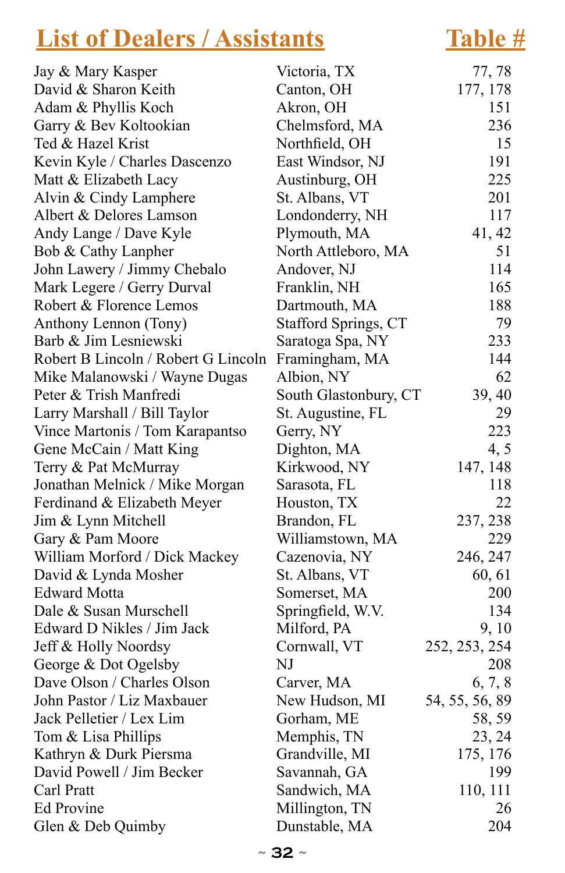### **List of Dealers / Assistants Table # List of Dealers / Assistants Table #**

| Jay & Mary Kasper                   | Victoria, TX          | 77, 78         |
|-------------------------------------|-----------------------|----------------|
| David & Sharon Keith                | Canton, OH            | 177, 178       |
| Adam & Phyllis Koch                 | Akron, OH             | 151            |
| Garry & Bev Koltookian              | Chelmsford, MA        | 236            |
| Ted & Hazel Krist                   | Northfield, OH        | 15             |
| Kevin Kyle / Charles Dascenzo       | East Windsor, NJ      | 191            |
| Matt & Elizabeth Lacy               | Austinburg, OH        | 225            |
| Alvin & Cindy Lamphere              | St. Albans, VT        | 201            |
| Albert & Delores Lamson             | Londonderry, NH       | 117            |
| Andy Lange / Dave Kyle              | Plymouth, MA          | 41, 42         |
| Bob & Cathy Lanpher                 | North Attleboro, MA   | 51             |
| John Lawery / Jimmy Chebalo         | Andover, NJ           | 114            |
| Mark Legere / Gerry Durval          | Franklin, NH          | 165            |
| Robert & Florence Lemos             | Dartmouth, MA         | 188            |
| Anthony Lennon (Tony)               | Stafford Springs, CT  | 79             |
| Barb & Jim Lesniewski               | Saratoga Spa, NY      | 233            |
| Robert B Lincoln / Robert G Lincoln | Framingham, MA        | 144            |
| Mike Malanowski / Wayne Dugas       | Albion, NY            | 62             |
| Peter & Trish Manfredi              | South Glastonbury, CT | 39, 40         |
| Larry Marshall / Bill Taylor        | St. Augustine, FL     | 29             |
| Vince Martonis / Tom Karapantso     | Gerry, NY             | 223            |
| Gene McCain / Matt King             | Dighton, MA           | 4, 5           |
| Terry & Pat McMurray                | Kirkwood, NY          | 147, 148       |
| Jonathan Melnick / Mike Morgan      | Sarasota, FL          | 118            |
| Ferdinand & Elizabeth Meyer         | Houston, TX           | 22             |
| Jim & Lynn Mitchell                 | Brandon, FL           | 237, 238       |
| Gary & Pam Moore                    | Williamstown, MA      | 229            |
| William Morford / Dick Mackey       | Cazenovia, NY         | 246, 247       |
| David & Lynda Mosher                | St. Albans, VT        | 60, 61         |
| <b>Edward Motta</b>                 | Somerset, MA          | 200            |
| Dale & Susan Murschell              | Springfield, W.V.     | 134            |
| Edward D Nikles / Jim Jack          | Milford, PA           | 9, 10          |
| Jeff & Holly Noordsy                | Cornwall, VT          | 252, 253, 254  |
| George & Dot Ogelsby                | NJ                    | 208            |
| Dave Olson / Charles Olson          | Carver, MA            | 6, 7, 8        |
| John Pastor / Liz Maxbauer          | New Hudson, MI        | 54, 55, 56, 89 |
| Jack Pelletier / Lex Lim            | Gorham, ME            | 58, 59         |
| Tom & Lisa Phillips                 | Memphis, TN           | 23, 24         |
| Kathryn & Durk Piersma              | Grandville, MI        | 175, 176       |
| David Powell / Jim Becker           | Savannah, GA          | 199            |
| Carl Pratt                          | Sandwich, MA          | 110, 111       |
| <b>Ed Provine</b>                   | Millington, TN        | 26             |
| Glen & Deb Quimby                   | Dunstable, MA         | 204            |